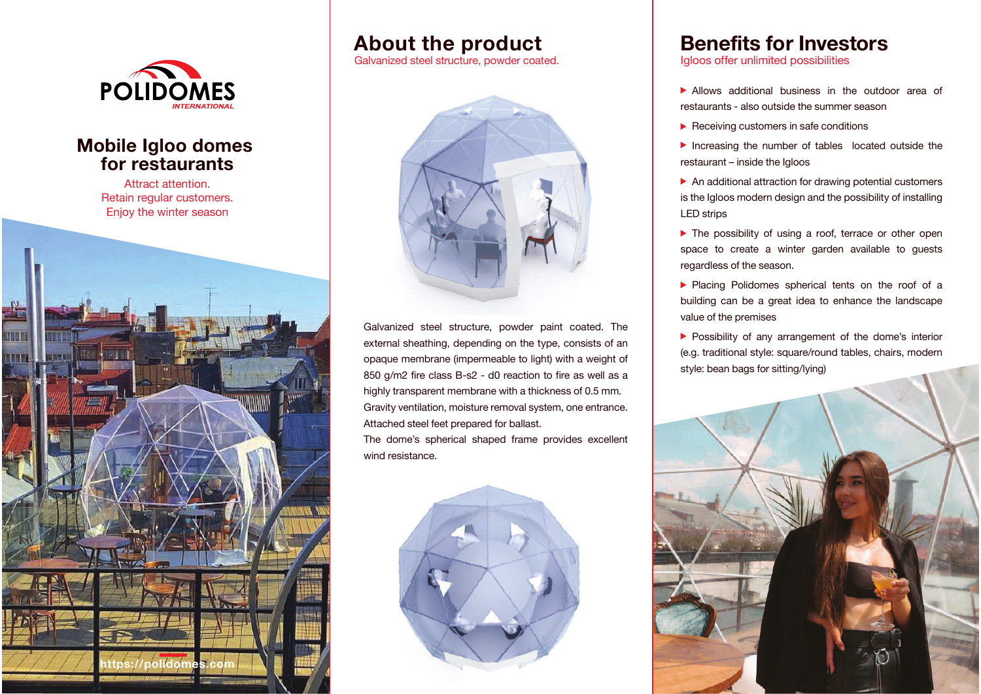

#### **Mobile Igloo domes for restaurants**

Attract attention. Retain regular customers. Enjoy the winter season



#### **About the product**

Galvanized steel structure, powder coated.

![](_page_0_Picture_6.jpeg)

Galvanized steel structure, powder paint coated. The external sheathing, depending on the type, consists of an opaque membrane (impermeable to light) with a weight of 850 g/m2 fire class B-s2 - d0 reaction to fire as well as a highly transparent membrane with a thickness of 0.5 mm. Gravity ventilation, moisture removal system, one entrance. Attached steel feet prepared for ballast.

The dome's spherical shaped frame provides excellent wind resistance.

![](_page_0_Picture_9.jpeg)

## **Benefits for Investors**

Igloos offer unlimited possibilities

- Allows additional business in the outdoor area of restaurants - also outside the summer season
- $\blacktriangleright$  Receiving customers in safe conditions
- Increasing the number of tables located outside the restaurant – inside the Igloos
- An additional attraction for drawing potential customers is the Igloos modern design and the possibility of installing LED strips
- ▶ The possibility of using a roof, terrace or other open space to create a winter garden available to guests regardless of the season.
- **Placing Polidomes spherical tents on the roof of a** building can be a great idea to enhance the landscape value of the premises
- **Possibility of any arrangement of the dome's interior** (e.g. traditional style: square/round tables, chairs, modern style: bean bags for sitting/lying)

![](_page_0_Picture_19.jpeg)